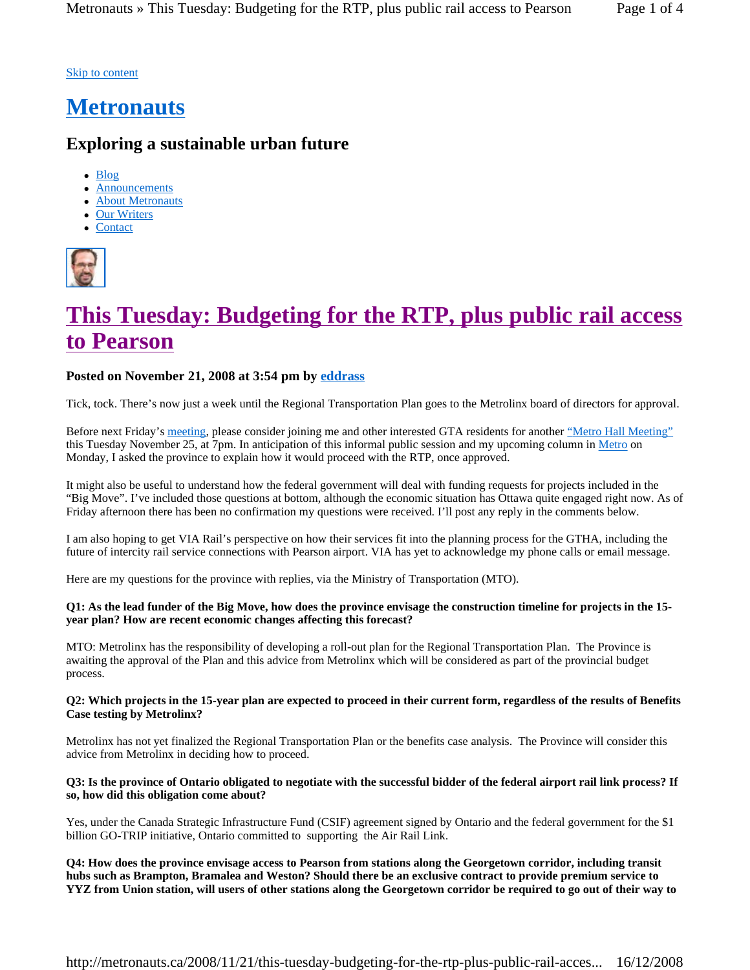### Skip to content

## **Metronauts**

### **Exploring a sustainable urban future**

- $\bullet$  Blog
- Announcements
- About Metronauts
- Our Writers
- Contact



# **This Tuesday: Budgeting for the RTP, plus public rail access to Pearson**

### **Posted on November 21, 2008 at 3:54 pm by eddrass**

Tick, tock. There's now just a week until the Regional Transportation Plan goes to the Metrolinx board of directors for approval.

Before next Friday's meeting, please consider joining me and other interested GTA residents for another "Metro Hall Meeting" this Tuesday November 25, at 7pm. In anticipation of this informal public session and my upcoming column in Metro on Monday, I asked the province to explain how it would proceed with the RTP, once approved.

It might also be useful to understand how the federal government will deal with funding requests for projects included in the "Big Move". I've included those questions at bottom, although the economic situation has Ottawa quite engaged right now. As of Friday afternoon there has been no confirmation my questions were received. I'll post any reply in the comments below.

I am also hoping to get VIA Rail's perspective on how their services fit into the planning process for the GTHA, including the future of intercity rail service connections with Pearson airport. VIA has yet to acknowledge my phone calls or email message.

Here are my questions for the province with replies, via the Ministry of Transportation (MTO).

### **Q1: As the lead funder of the Big Move, how does the province envisage the construction timeline for projects in the 15 year plan? How are recent economic changes affecting this forecast?**

MTO: Metrolinx has the responsibility of developing a roll-out plan for the Regional Transportation Plan. The Province is awaiting the approval of the Plan and this advice from Metrolinx which will be considered as part of the provincial budget process.

### **Q2: Which projects in the 15-year plan are expected to proceed in their current form, regardless of the results of Benefits Case testing by Metrolinx?**

Metrolinx has not yet finalized the Regional Transportation Plan or the benefits case analysis. The Province will consider this advice from Metrolinx in deciding how to proceed.

### **Q3: Is the province of Ontario obligated to negotiate with the successful bidder of the federal airport rail link process? If so, how did this obligation come about?**

Yes, under the Canada Strategic Infrastructure Fund (CSIF) agreement signed by Ontario and the federal government for the \$1 billion GO-TRIP initiative, Ontario committed to supporting the Air Rail Link.

**Q4: How does the province envisage access to Pearson from stations along the Georgetown corridor, including transit hubs such as Brampton, Bramalea and Weston? Should there be an exclusive contract to provide premium service to YYZ from Union station, will users of other stations along the Georgetown corridor be required to go out of their way to**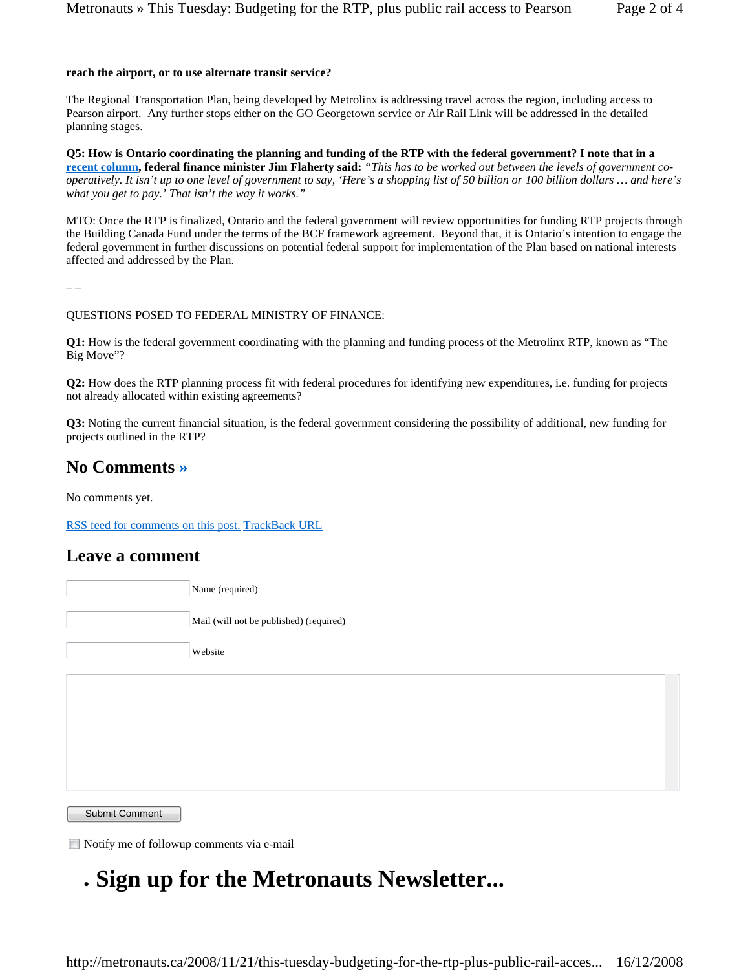#### **reach the airport, or to use alternate transit service?**

The Regional Transportation Plan, being developed by Metrolinx is addressing travel across the region, including access to Pearson airport. Any further stops either on the GO Georgetown service or Air Rail Link will be addressed in the detailed planning stages.

**Q5: How is Ontario coordinating the planning and funding of the RTP with the federal government? I note that in a recent column, federal finance minister Jim Flaherty said:** *"This has to be worked out between the levels of government cooperatively. It isn't up to one level of government to say, 'Here's a shopping list of 50 billion or 100 billion dollars … and here's what you get to pay.' That isn't the way it works."*

MTO: Once the RTP is finalized, Ontario and the federal government will review opportunities for funding RTP projects through the Building Canada Fund under the terms of the BCF framework agreement. Beyond that, it is Ontario's intention to engage the federal government in further discussions on potential federal support for implementation of the Plan based on national interests affected and addressed by the Plan.

– –

#### QUESTIONS POSED TO FEDERAL MINISTRY OF FINANCE:

**Q1:** How is the federal government coordinating with the planning and funding process of the Metrolinx RTP, known as "The Big Move"?

**Q2:** How does the RTP planning process fit with federal procedures for identifying new expenditures, i.e. funding for projects not already allocated within existing agreements?

**Q3:** Noting the current financial situation, is the federal government considering the possibility of additional, new funding for projects outlined in the RTP?

### **No Comments »**

No comments yet.

RSS feed for comments on this post. TrackBack URL

### **Leave a comment**

Name (required)

Mail (will not be published) (required)

Website

Submit Comment

Notify me of followup comments via e-mail

# <sup>z</sup> **Sign up for the Metronauts Newsletter...**

http://metronauts.ca/2008/11/21/this-tuesday-budgeting-for-the-rtp-plus-public-rail-acces... 16/12/2008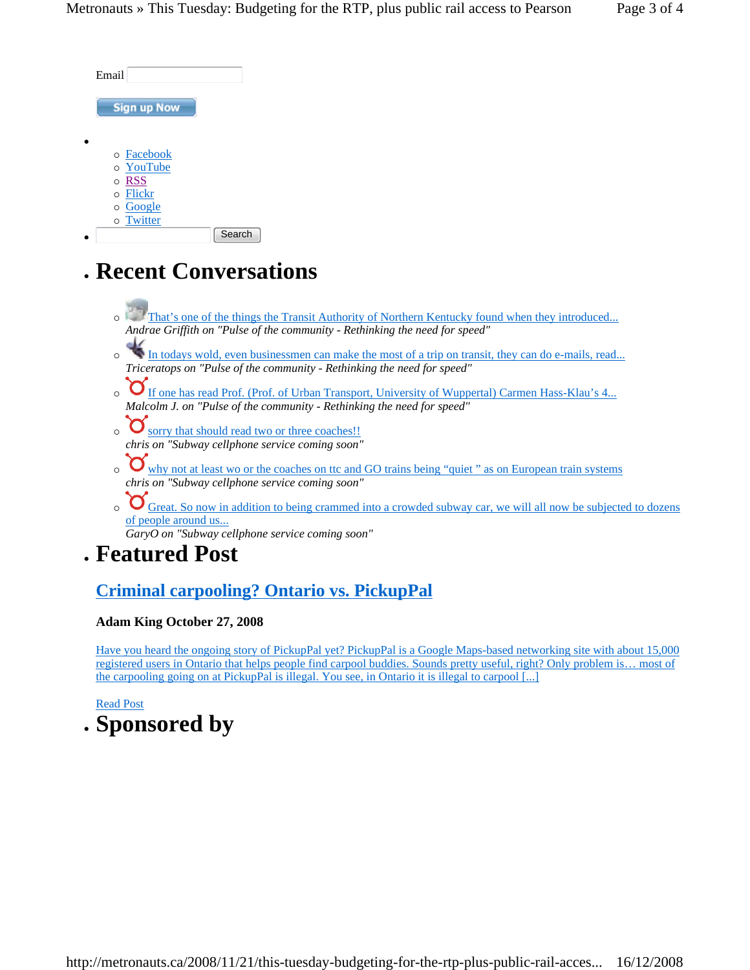| Email              |        |
|--------------------|--------|
| <b>Sign up Now</b> |        |
|                    |        |
| o Facebook         |        |
| o YouTube          |        |
| o RSS              |        |
| o Flickr           |        |
| o Google           |        |
| o Twitter          |        |
|                    | Search |

## <sup>z</sup> **Recent Conversations**

- **That's one of the things the Transit Authority of Northern Kentucky found when they introduced...** *Andrae Griffith on "Pulse of the community - Rethinking the need for speed"*
- ${\rm \sigma}$  In todays wold, even businessmen can make the most of a trip on transit, they can do e-mails, read... *Triceratops on "Pulse of the community - Rethinking the need for speed"*
- <sup>o</sup> If one has read Prof. (Prof. of Urban Transport, University of Wuppertal) Carmen Hass-Klau's 4... *Malcolm J. on "Pulse of the community - Rethinking the need for speed"*
- $\circ$  Sorry that should read two or three coaches!! *chris on "Subway cellphone service coming soon"*
- <sup>o</sup> why not at least wo or the coaches on ttc and GO trains being "quiet" as on European train systems *chris on "Subway cellphone service coming soon"*
- ${\bf O}$  Great. So now in addition to being crammed into a crowded subway car, we will all now be subjected to dozens of people around us...

*GaryO on "Subway cellphone service coming soon"*

## <sup>z</sup> **Featured Post**

## **Criminal carpooling? Ontario vs. PickupPal**

### **Adam King October 27, 2008**

Have you heard the ongoing story of PickupPal yet? PickupPal is a Google Maps-based networking site with about 15,000 registered users in Ontario that helps people find carpool buddies. Sounds pretty useful, right? Only problem is… most of the carpooling going on at PickupPal is illegal. You see, in Ontario it is illegal to carpool [...]